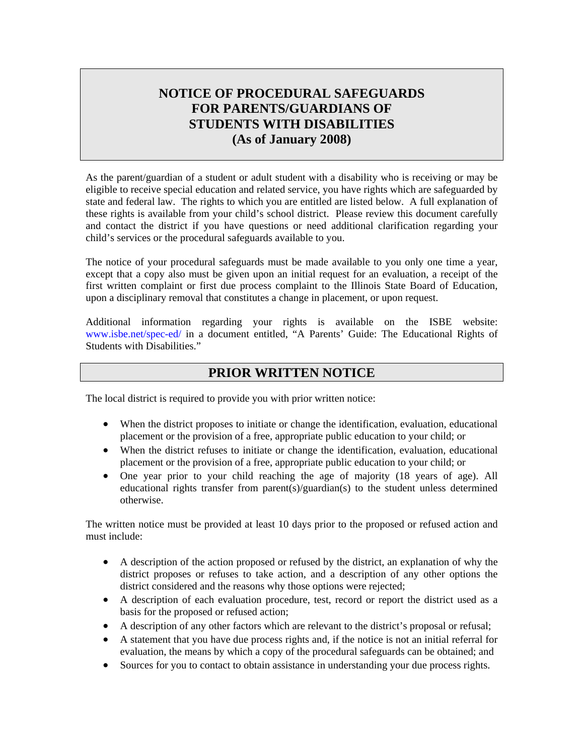# **NOTICE OF PROCEDURAL SAFEGUARDS FOR PARENTS/GUARDIANS OF STUDENTS WITH DISABILITIES (As of January 2008)**

As the parent/guardian of a student or adult student with a disability who is receiving or may be eligible to receive special education and related service, you have rights which are safeguarded by state and federal law. The rights to which you are entitled are listed below. A full explanation of these rights is available from your child's school district. Please review this document carefully and contact the district if you have questions or need additional clarification regarding your child's services or the procedural safeguards available to you.

The notice of your procedural safeguards must be made available to you only one time a year, except that a copy also must be given upon an initial request for an evaluation, a receipt of the first written complaint or first due process complaint to the Illinois State Board of Education, upon a disciplinary removal that constitutes a change in placement, or upon request.

Additional information regarding your rights is available on the ISBE website: [www.isbe.net/spec-ed/](http://www.isbe.net/spec-ed/) in a document entitled, "A Parents' Guide: The Educational Rights of Students with Disabilities."

## **PRIOR WRITTEN NOTICE**

The local district is required to provide you with prior written notice:

- When the district proposes to initiate or change the identification, evaluation, educational placement or the provision of a free, appropriate public education to your child; or
- When the district refuses to initiate or change the identification, evaluation, educational placement or the provision of a free, appropriate public education to your child; or
- One year prior to your child reaching the age of majority (18 years of age). All educational rights transfer from parent(s)/guardian(s) to the student unless determined otherwise.

The written notice must be provided at least 10 days prior to the proposed or refused action and must include:

- A description of the action proposed or refused by the district, an explanation of why the district proposes or refuses to take action, and a description of any other options the district considered and the reasons why those options were rejected;
- A description of each evaluation procedure, test, record or report the district used as a basis for the proposed or refused action;
- A description of any other factors which are relevant to the district's proposal or refusal;
- A statement that you have due process rights and, if the notice is not an initial referral for evaluation, the means by which a copy of the procedural safeguards can be obtained; and
- Sources for you to contact to obtain assistance in understanding your due process rights.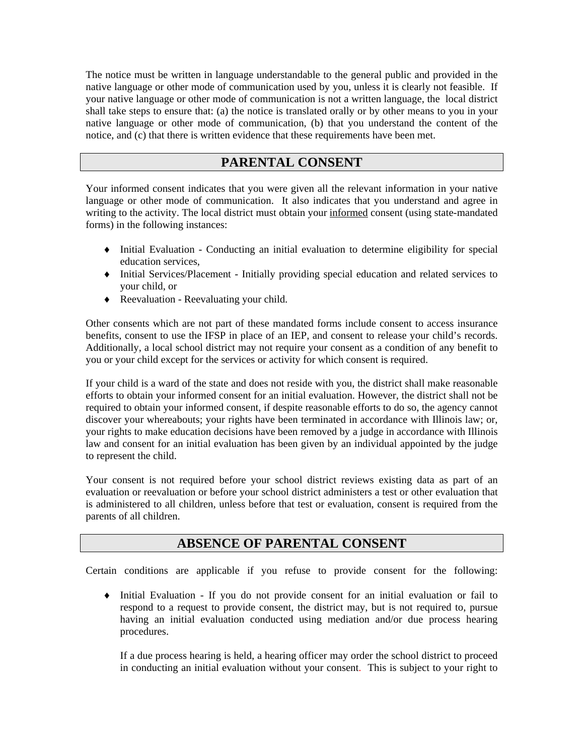The notice must be written in language understandable to the general public and provided in the native language or other mode of communication used by you, unless it is clearly not feasible. If your native language or other mode of communication is not a written language, the local district shall take steps to ensure that: (a) the notice is translated orally or by other means to you in your native language or other mode of communication, (b) that you understand the content of the notice, and (c) that there is written evidence that these requirements have been met.

## **PARENTAL CONSENT**

Your informed consent indicates that you were given all the relevant information in your native language or other mode of communication. It also indicates that you understand and agree in writing to the activity. The local district must obtain your informed consent (using state-mandated forms) in the following instances:

- ♦ Initial Evaluation Conducting an initial evaluation to determine eligibility for special education services,
- ♦ Initial Services/Placement Initially providing special education and related services to your child, or
- ♦ Reevaluation Reevaluating your child.

Other consents which are not part of these mandated forms include consent to access insurance benefits, consent to use the IFSP in place of an IEP, and consent to release your child's records. Additionally, a local school district may not require your consent as a condition of any benefit to you or your child except for the services or activity for which consent is required.

If your child is a ward of the state and does not reside with you, the district shall make reasonable efforts to obtain your informed consent for an initial evaluation. However, the district shall not be required to obtain your informed consent, if despite reasonable efforts to do so, the agency cannot discover your whereabouts; your rights have been terminated in accordance with Illinois law; or, your rights to make education decisions have been removed by a judge in accordance with Illinois law and consent for an initial evaluation has been given by an individual appointed by the judge to represent the child.

Your consent is not required before your school district reviews existing data as part of an evaluation or reevaluation or before your school district administers a test or other evaluation that is administered to all children, unless before that test or evaluation, consent is required from the parents of all children.

## **ABSENCE OF PARENTAL CONSENT**

Certain conditions are applicable if you refuse to provide consent for the following:

♦ Initial Evaluation - If you do not provide consent for an initial evaluation or fail to respond to a request to provide consent, the district may, but is not required to, pursue having an initial evaluation conducted using mediation and/or due process hearing procedures.

If a due process hearing is held, a hearing officer may order the school district to proceed in conducting an initial evaluation without your consent. This is subject to your right to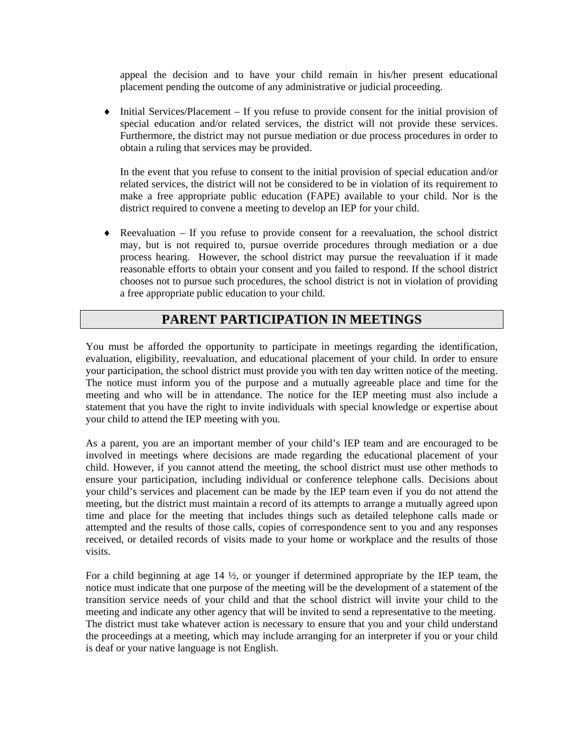appeal the decision and to have your child remain in his/her present educational placement pending the outcome of any administrative or judicial proceeding.

♦ Initial Services/Placement – If you refuse to provide consent for the initial provision of special education and/or related services, the district will not provide these services. Furthermore, the district may not pursue mediation or due process procedures in order to obtain a ruling that services may be provided.

In the event that you refuse to consent to the initial provision of special education and/or related services, the district will not be considered to be in violation of its requirement to make a free appropriate public education (FAPE) available to your child. Nor is the district required to convene a meeting to develop an IEP for your child.

 $\triangle$  Reevaluation – If you refuse to provide consent for a reevaluation, the school district may, but is not required to, pursue override procedures through mediation or a due process hearing. However, the school district may pursue the reevaluation if it made reasonable efforts to obtain your consent and you failed to respond. If the school district chooses not to pursue such procedures, the school district is not in violation of providing a free appropriate public education to your child.

# **PARENT PARTICIPATION IN MEETINGS**

You must be afforded the opportunity to participate in meetings regarding the identification, evaluation, eligibility, reevaluation, and educational placement of your child. In order to ensure your participation, the school district must provide you with ten day written notice of the meeting. The notice must inform you of the purpose and a mutually agreeable place and time for the meeting and who will be in attendance. The notice for the IEP meeting must also include a statement that you have the right to invite individuals with special knowledge or expertise about your child to attend the IEP meeting with you.

As a parent, you are an important member of your child's IEP team and are encouraged to be involved in meetings where decisions are made regarding the educational placement of your child. However, if you cannot attend the meeting, the school district must use other methods to ensure your participation, including individual or conference telephone calls. Decisions about your child's services and placement can be made by the IEP team even if you do not attend the meeting, but the district must maintain a record of its attempts to arrange a mutually agreed upon time and place for the meeting that includes things such as detailed telephone calls made or attempted and the results of those calls, copies of correspondence sent to you and any responses received, or detailed records of visits made to your home or workplace and the results of those visits.

For a child beginning at age 14 ½, or younger if determined appropriate by the IEP team, the notice must indicate that one purpose of the meeting will be the development of a statement of the transition service needs of your child and that the school district will invite your child to the meeting and indicate any other agency that will be invited to send a representative to the meeting. The district must take whatever action is necessary to ensure that you and your child understand the proceedings at a meeting, which may include arranging for an interpreter if you or your child is deaf or your native language is not English.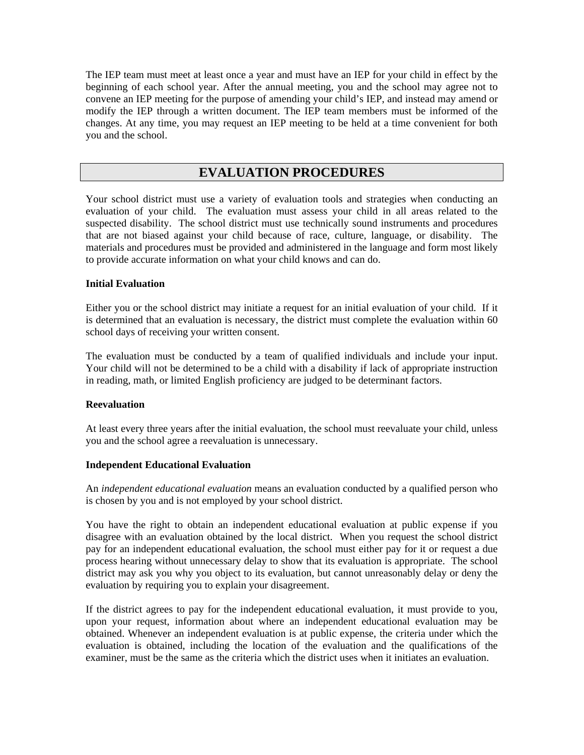The IEP team must meet at least once a year and must have an IEP for your child in effect by the beginning of each school year. After the annual meeting, you and the school may agree not to convene an IEP meeting for the purpose of amending your child's IEP, and instead may amend or modify the IEP through a written document. The IEP team members must be informed of the changes. At any time, you may request an IEP meeting to be held at a time convenient for both you and the school.

## **EVALUATION PROCEDURES**

Your school district must use a variety of evaluation tools and strategies when conducting an evaluation of your child. The evaluation must assess your child in all areas related to the suspected disability. The school district must use technically sound instruments and procedures that are not biased against your child because of race, culture, language, or disability. The materials and procedures must be provided and administered in the language and form most likely to provide accurate information on what your child knows and can do.

## **Initial Evaluation**

Either you or the school district may initiate a request for an initial evaluation of your child. If it is determined that an evaluation is necessary, the district must complete the evaluation within 60 school days of receiving your written consent.

The evaluation must be conducted by a team of qualified individuals and include your input. Your child will not be determined to be a child with a disability if lack of appropriate instruction in reading, math, or limited English proficiency are judged to be determinant factors.

### **Reevaluation**

At least every three years after the initial evaluation, the school must reevaluate your child, unless you and the school agree a reevaluation is unnecessary.

### **Independent Educational Evaluation**

An *independent educational evaluation* means an evaluation conducted by a qualified person who is chosen by you and is not employed by your school district.

You have the right to obtain an independent educational evaluation at public expense if you disagree with an evaluation obtained by the local district. When you request the school district pay for an independent educational evaluation, the school must either pay for it or request a due process hearing without unnecessary delay to show that its evaluation is appropriate. The school district may ask you why you object to its evaluation, but cannot unreasonably delay or deny the evaluation by requiring you to explain your disagreement.

If the district agrees to pay for the independent educational evaluation, it must provide to you, upon your request, information about where an independent educational evaluation may be obtained. Whenever an independent evaluation is at public expense, the criteria under which the evaluation is obtained, including the location of the evaluation and the qualifications of the examiner, must be the same as the criteria which the district uses when it initiates an evaluation.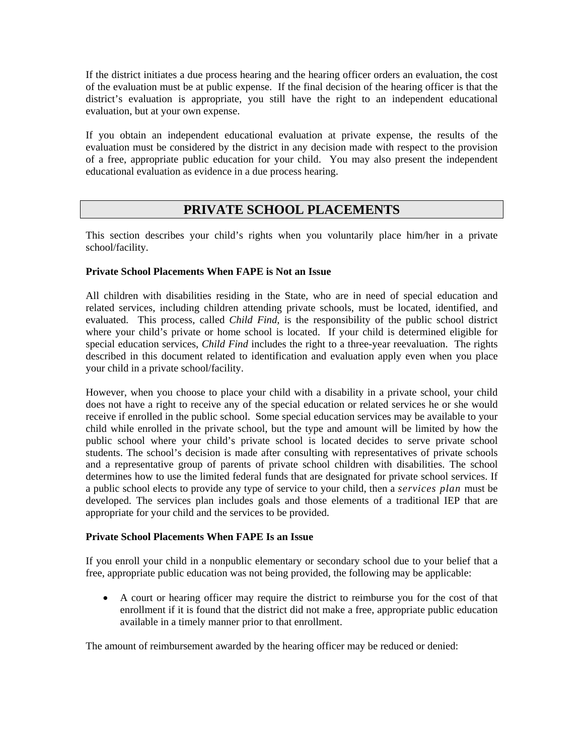If the district initiates a due process hearing and the hearing officer orders an evaluation, the cost of the evaluation must be at public expense. If the final decision of the hearing officer is that the district's evaluation is appropriate, you still have the right to an independent educational evaluation, but at your own expense.

If you obtain an independent educational evaluation at private expense, the results of the evaluation must be considered by the district in any decision made with respect to the provision of a free, appropriate public education for your child. You may also present the independent educational evaluation as evidence in a due process hearing.

## **PRIVATE SCHOOL PLACEMENTS**

This section describes your child's rights when you voluntarily place him/her in a private school/facility.

### **Private School Placements When FAPE is Not an Issue**

All children with disabilities residing in the State, who are in need of special education and related services, including children attending private schools, must be located, identified, and evaluated. This process, called *Child Find*, is the responsibility of the public school district where your child's private or home school is located. If your child is determined eligible for special education services, *Child Find* includes the right to a three-year reevaluation. The rights described in this document related to identification and evaluation apply even when you place your child in a private school/facility.

However, when you choose to place your child with a disability in a private school, your child does not have a right to receive any of the special education or related services he or she would receive if enrolled in the public school. Some special education services may be available to your child while enrolled in the private school, but the type and amount will be limited by how the public school where your child's private school is located decides to serve private school students. The school's decision is made after consulting with representatives of private schools and a representative group of parents of private school children with disabilities. The school determines how to use the limited federal funds that are designated for private school services. If a public school elects to provide any type of service to your child, then a *services plan* must be developed. The services plan includes goals and those elements of a traditional IEP that are appropriate for your child and the services to be provided.

### **Private School Placements When FAPE Is an Issue**

If you enroll your child in a nonpublic elementary or secondary school due to your belief that a free, appropriate public education was not being provided, the following may be applicable:

• A court or hearing officer may require the district to reimburse you for the cost of that enrollment if it is found that the district did not make a free, appropriate public education available in a timely manner prior to that enrollment.

The amount of reimbursement awarded by the hearing officer may be reduced or denied: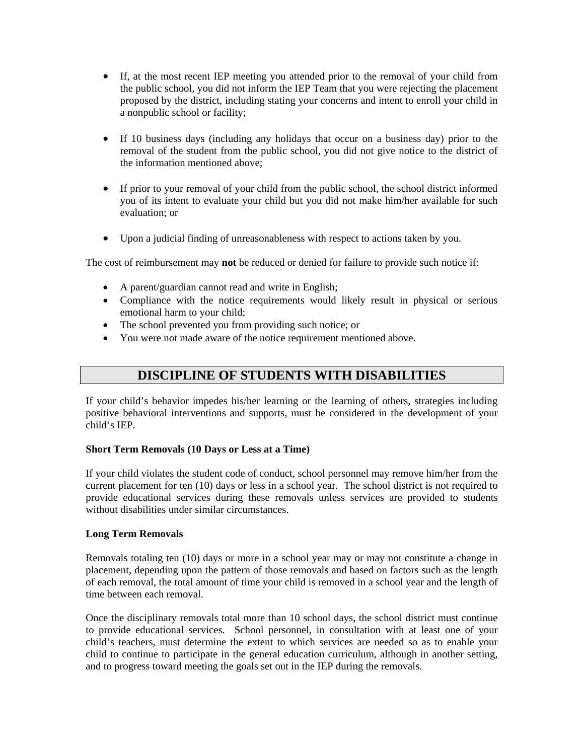- If, at the most recent IEP meeting you attended prior to the removal of your child from the public school, you did not inform the IEP Team that you were rejecting the placement proposed by the district, including stating your concerns and intent to enroll your child in a nonpublic school or facility;
- If 10 business days (including any holidays that occur on a business day) prior to the removal of the student from the public school, you did not give notice to the district of the information mentioned above;
- If prior to your removal of your child from the public school, the school district informed you of its intent to evaluate your child but you did not make him/her available for such evaluation; or
- Upon a judicial finding of unreasonableness with respect to actions taken by you.

The cost of reimbursement may **not** be reduced or denied for failure to provide such notice if:

- A parent/guardian cannot read and write in English;
- Compliance with the notice requirements would likely result in physical or serious emotional harm to your child;
- The school prevented you from providing such notice; or
- You were not made aware of the notice requirement mentioned above.

## **DISCIPLINE OF STUDENTS WITH DISABILITIES**

If your child's behavior impedes his/her learning or the learning of others, strategies including positive behavioral interventions and supports, must be considered in the development of your child's IEP.

### **Short Term Removals (10 Days or Less at a Time)**

If your child violates the student code of conduct, school personnel may remove him/her from the current placement for ten (10) days or less in a school year. The school district is not required to provide educational services during these removals unless services are provided to students without disabilities under similar circumstances.

### **Long Term Removals**

Removals totaling ten (10) days or more in a school year may or may not constitute a change in placement, depending upon the pattern of those removals and based on factors such as the length of each removal, the total amount of time your child is removed in a school year and the length of time between each removal.

Once the disciplinary removals total more than 10 school days, the school district must continue to provide educational services. School personnel, in consultation with at least one of your child's teachers, must determine the extent to which services are needed so as to enable your child to continue to participate in the general education curriculum, although in another setting, and to progress toward meeting the goals set out in the IEP during the removals.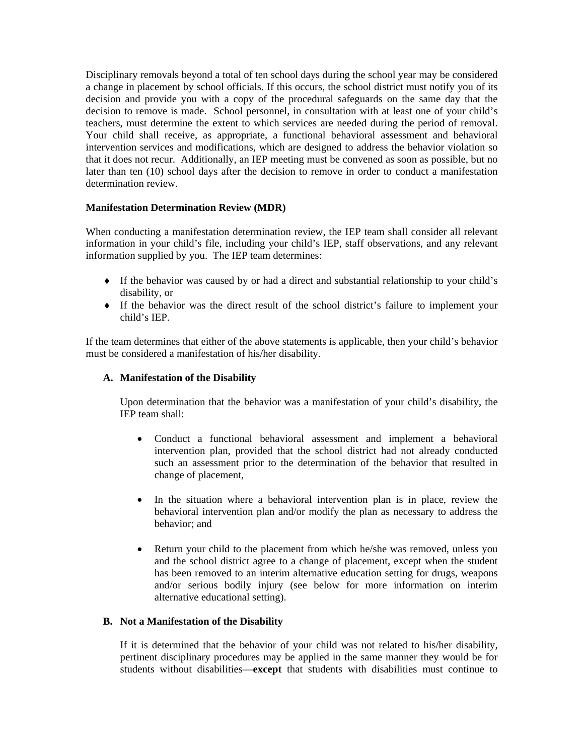Disciplinary removals beyond a total of ten school days during the school year may be considered a change in placement by school officials. If this occurs, the school district must notify you of its decision and provide you with a copy of the procedural safeguards on the same day that the decision to remove is made. School personnel, in consultation with at least one of your child's teachers, must determine the extent to which services are needed during the period of removal. Your child shall receive, as appropriate, a functional behavioral assessment and behavioral intervention services and modifications, which are designed to address the behavior violation so that it does not recur. Additionally, an IEP meeting must be convened as soon as possible, but no later than ten (10) school days after the decision to remove in order to conduct a manifestation determination review.

## **Manifestation Determination Review (MDR)**

When conducting a manifestation determination review, the IEP team shall consider all relevant information in your child's file, including your child's IEP, staff observations, and any relevant information supplied by you. The IEP team determines:

- ♦ If the behavior was caused by or had a direct and substantial relationship to your child's disability, or
- ♦ If the behavior was the direct result of the school district's failure to implement your child's IEP.

If the team determines that either of the above statements is applicable, then your child's behavior must be considered a manifestation of his/her disability.

### **A. Manifestation of the Disability**

Upon determination that the behavior was a manifestation of your child's disability, the IEP team shall:

- Conduct a functional behavioral assessment and implement a behavioral intervention plan, provided that the school district had not already conducted such an assessment prior to the determination of the behavior that resulted in change of placement,
- In the situation where a behavioral intervention plan is in place, review the behavioral intervention plan and/or modify the plan as necessary to address the behavior; and
- Return your child to the placement from which he/she was removed, unless you and the school district agree to a change of placement, except when the student has been removed to an interim alternative education setting for drugs, weapons and/or serious bodily injury (see below for more information on interim alternative educational setting).

### **B. Not a Manifestation of the Disability**

If it is determined that the behavior of your child was not related to his/her disability, pertinent disciplinary procedures may be applied in the same manner they would be for students without disabilities—**except** that students with disabilities must continue to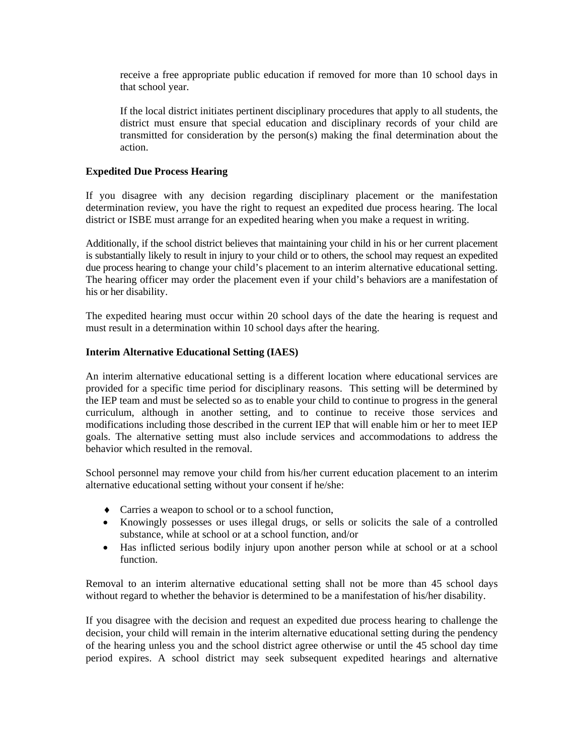receive a free appropriate public education if removed for more than 10 school days in that school year.

If the local district initiates pertinent disciplinary procedures that apply to all students, the district must ensure that special education and disciplinary records of your child are transmitted for consideration by the person(s) making the final determination about the action.

### **Expedited Due Process Hearing**

If you disagree with any decision regarding disciplinary placement or the manifestation determination review, you have the right to request an expedited due process hearing. The local district or ISBE must arrange for an expedited hearing when you make a request in writing.

Additionally, if the school district believes that maintaining your child in his or her current placement is substantially likely to result in injury to your child or to others, the school may request an expedited due process hearing to change your child's placement to an interim alternative educational setting. The hearing officer may order the placement even if your child's behaviors are a manifestation of his or her disability.

The expedited hearing must occur within 20 school days of the date the hearing is request and must result in a determination within 10 school days after the hearing.

#### **Interim Alternative Educational Setting (IAES)**

An interim alternative educational setting is a different location where educational services are provided for a specific time period for disciplinary reasons. This setting will be determined by the IEP team and must be selected so as to enable your child to continue to progress in the general curriculum, although in another setting, and to continue to receive those services and modifications including those described in the current IEP that will enable him or her to meet IEP goals. The alternative setting must also include services and accommodations to address the behavior which resulted in the removal.

School personnel may remove your child from his/her current education placement to an interim alternative educational setting without your consent if he/she:

- ♦ Carries a weapon to school or to a school function,
- Knowingly possesses or uses illegal drugs, or sells or solicits the sale of a controlled substance, while at school or at a school function, and/or
- Has inflicted serious bodily injury upon another person while at school or at a school function.

Removal to an interim alternative educational setting shall not be more than 45 school days without regard to whether the behavior is determined to be a manifestation of his/her disability.

If you disagree with the decision and request an expedited due process hearing to challenge the decision, your child will remain in the interim alternative educational setting during the pendency of the hearing unless you and the school district agree otherwise or until the 45 school day time period expires. A school district may seek subsequent expedited hearings and alternative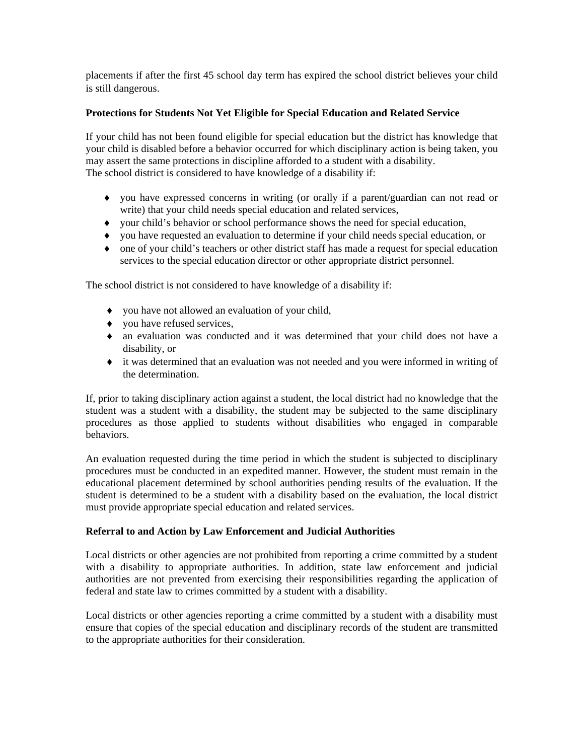placements if after the first 45 school day term has expired the school district believes your child is still dangerous.

## **Protections for Students Not Yet Eligible for Special Education and Related Service**

If your child has not been found eligible for special education but the district has knowledge that your child is disabled before a behavior occurred for which disciplinary action is being taken, you may assert the same protections in discipline afforded to a student with a disability. The school district is considered to have knowledge of a disability if:

- ♦ you have expressed concerns in writing (or orally if a parent/guardian can not read or write) that your child needs special education and related services,
- ♦ your child's behavior or school performance shows the need for special education,
- ♦ you have requested an evaluation to determine if your child needs special education, or
- ♦ one of your child's teachers or other district staff has made a request for special education services to the special education director or other appropriate district personnel.

The school district is not considered to have knowledge of a disability if:

- ♦ you have not allowed an evaluation of your child,
- ♦ you have refused services,
- ♦ an evaluation was conducted and it was determined that your child does not have a disability, or
- ♦ it was determined that an evaluation was not needed and you were informed in writing of the determination.

If, prior to taking disciplinary action against a student, the local district had no knowledge that the student was a student with a disability, the student may be subjected to the same disciplinary procedures as those applied to students without disabilities who engaged in comparable behaviors.

An evaluation requested during the time period in which the student is subjected to disciplinary procedures must be conducted in an expedited manner. However, the student must remain in the educational placement determined by school authorities pending results of the evaluation. If the student is determined to be a student with a disability based on the evaluation, the local district must provide appropriate special education and related services.

### **Referral to and Action by Law Enforcement and Judicial Authorities**

Local districts or other agencies are not prohibited from reporting a crime committed by a student with a disability to appropriate authorities. In addition, state law enforcement and judicial authorities are not prevented from exercising their responsibilities regarding the application of federal and state law to crimes committed by a student with a disability.

Local districts or other agencies reporting a crime committed by a student with a disability must ensure that copies of the special education and disciplinary records of the student are transmitted to the appropriate authorities for their consideration.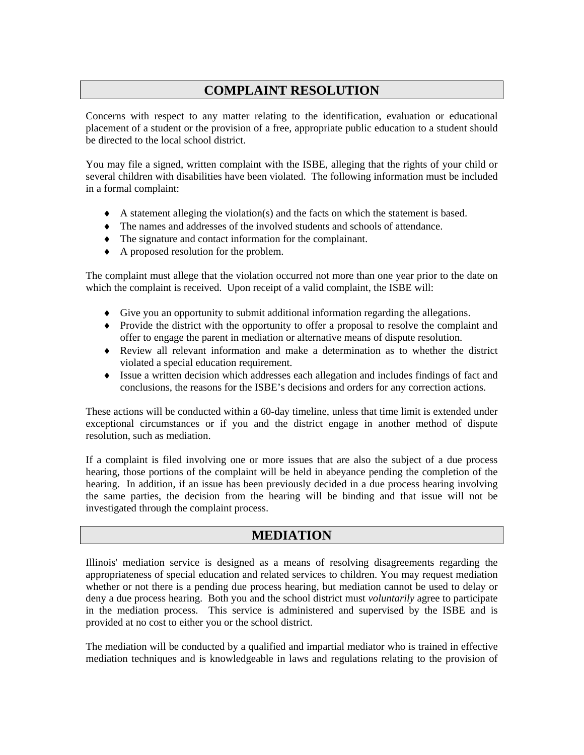# **COMPLAINT RESOLUTION**

Concerns with respect to any matter relating to the identification, evaluation or educational placement of a student or the provision of a free, appropriate public education to a student should be directed to the local school district.

You may file a signed, written complaint with the ISBE, alleging that the rights of your child or several children with disabilities have been violated. The following information must be included in a formal complaint:

- $\blacklozenge$  A statement alleging the violation(s) and the facts on which the statement is based.
- ♦ The names and addresses of the involved students and schools of attendance.
- ♦ The signature and contact information for the complainant.
- ♦ A proposed resolution for the problem.

The complaint must allege that the violation occurred not more than one year prior to the date on which the complaint is received. Upon receipt of a valid complaint, the ISBE will:

- ♦ Give you an opportunity to submit additional information regarding the allegations.
- ♦ Provide the district with the opportunity to offer a proposal to resolve the complaint and offer to engage the parent in mediation or alternative means of dispute resolution.
- ♦ Review all relevant information and make a determination as to whether the district violated a special education requirement.
- ♦ Issue a written decision which addresses each allegation and includes findings of fact and conclusions, the reasons for the ISBE's decisions and orders for any correction actions.

These actions will be conducted within a 60-day timeline, unless that time limit is extended under exceptional circumstances or if you and the district engage in another method of dispute resolution, such as mediation.

If a complaint is filed involving one or more issues that are also the subject of a due process hearing, those portions of the complaint will be held in abeyance pending the completion of the hearing. In addition, if an issue has been previously decided in a due process hearing involving the same parties, the decision from the hearing will be binding and that issue will not be investigated through the complaint process.

## **MEDIATION**

Illinois' mediation service is designed as a means of resolving disagreements regarding the appropriateness of special education and related services to children. You may request mediation whether or not there is a pending due process hearing, but mediation cannot be used to delay or deny a due process hearing. Both you and the school district must *voluntarily* agree to participate in the mediation process. This service is administered and supervised by the ISBE and is provided at no cost to either you or the school district.

The mediation will be conducted by a qualified and impartial mediator who is trained in effective mediation techniques and is knowledgeable in laws and regulations relating to the provision of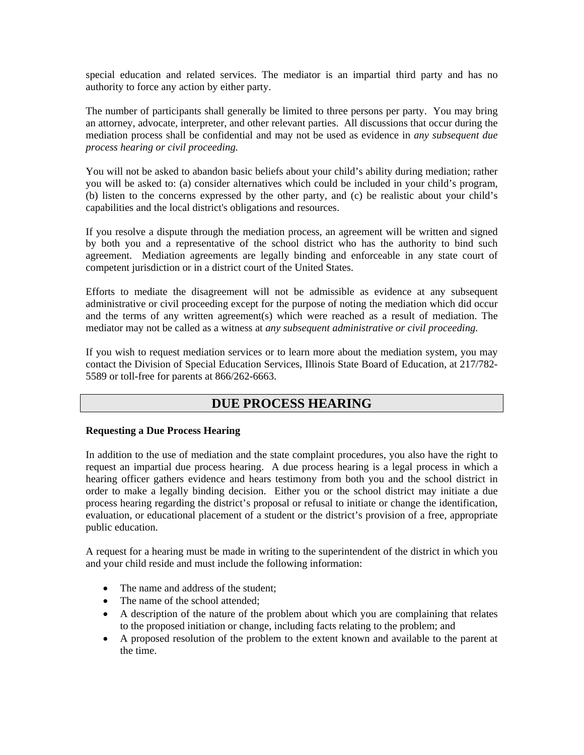special education and related services. The mediator is an impartial third party and has no authority to force any action by either party.

The number of participants shall generally be limited to three persons per party. You may bring an attorney, advocate, interpreter, and other relevant parties. All discussions that occur during the mediation process shall be confidential and may not be used as evidence in *any subsequent due process hearing or civil proceeding.* 

You will not be asked to abandon basic beliefs about your child's ability during mediation; rather you will be asked to: (a) consider alternatives which could be included in your child's program, (b) listen to the concerns expressed by the other party, and (c) be realistic about your child's capabilities and the local district's obligations and resources.

If you resolve a dispute through the mediation process, an agreement will be written and signed by both you and a representative of the school district who has the authority to bind such agreement. Mediation agreements are legally binding and enforceable in any state court of competent jurisdiction or in a district court of the United States.

Efforts to mediate the disagreement will not be admissible as evidence at any subsequent administrative or civil proceeding except for the purpose of noting the mediation which did occur and the terms of any written agreement(s) which were reached as a result of mediation. The mediator may not be called as a witness at *any subsequent administrative or civil proceeding.* 

If you wish to request mediation services or to learn more about the mediation system, you may contact the Division of Special Education Services, Illinois State Board of Education, at 217/782- 5589 or toll-free for parents at 866/262-6663.

## **DUE PROCESS HEARING**

### **Requesting a Due Process Hearing**

In addition to the use of mediation and the state complaint procedures, you also have the right to request an impartial due process hearing. A due process hearing is a legal process in which a hearing officer gathers evidence and hears testimony from both you and the school district in order to make a legally binding decision. Either you or the school district may initiate a due process hearing regarding the district's proposal or refusal to initiate or change the identification, evaluation, or educational placement of a student or the district's provision of a free, appropriate public education.

A request for a hearing must be made in writing to the superintendent of the district in which you and your child reside and must include the following information:

- The name and address of the student;
- The name of the school attended;
- A description of the nature of the problem about which you are complaining that relates to the proposed initiation or change, including facts relating to the problem; and
- A proposed resolution of the problem to the extent known and available to the parent at the time.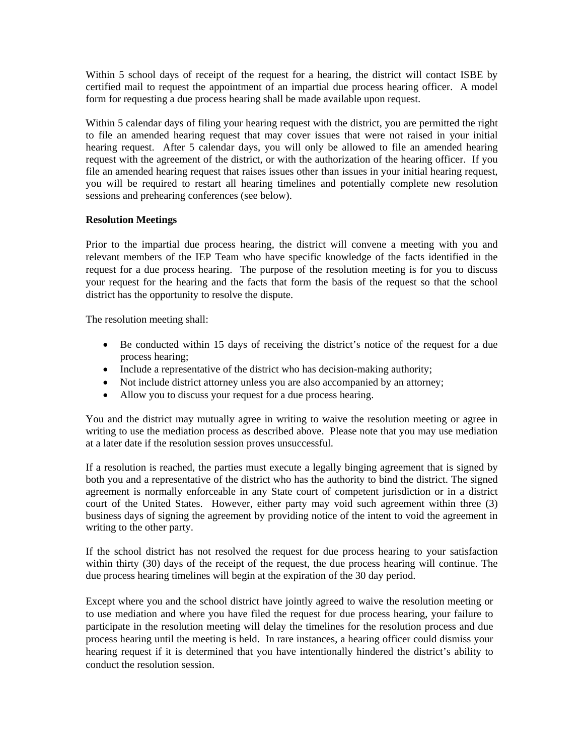Within 5 school days of receipt of the request for a hearing, the district will contact ISBE by certified mail to request the appointment of an impartial due process hearing officer. A model form for requesting a due process hearing shall be made available upon request.

Within 5 calendar days of filing your hearing request with the district, you are permitted the right to file an amended hearing request that may cover issues that were not raised in your initial hearing request. After 5 calendar days, you will only be allowed to file an amended hearing request with the agreement of the district, or with the authorization of the hearing officer. If you file an amended hearing request that raises issues other than issues in your initial hearing request, you will be required to restart all hearing timelines and potentially complete new resolution sessions and prehearing conferences (see below).

## **Resolution Meetings**

Prior to the impartial due process hearing, the district will convene a meeting with you and relevant members of the IEP Team who have specific knowledge of the facts identified in the request for a due process hearing. The purpose of the resolution meeting is for you to discuss your request for the hearing and the facts that form the basis of the request so that the school district has the opportunity to resolve the dispute.

The resolution meeting shall:

- Be conducted within 15 days of receiving the district's notice of the request for a due process hearing;
- Include a representative of the district who has decision-making authority;
- Not include district attorney unless you are also accompanied by an attorney;
- Allow you to discuss your request for a due process hearing.

You and the district may mutually agree in writing to waive the resolution meeting or agree in writing to use the mediation process as described above. Please note that you may use mediation at a later date if the resolution session proves unsuccessful.

If a resolution is reached, the parties must execute a legally binging agreement that is signed by both you and a representative of the district who has the authority to bind the district. The signed agreement is normally enforceable in any State court of competent jurisdiction or in a district court of the United States. However, either party may void such agreement within three (3) business days of signing the agreement by providing notice of the intent to void the agreement in writing to the other party.

If the school district has not resolved the request for due process hearing to your satisfaction within thirty (30) days of the receipt of the request, the due process hearing will continue. The due process hearing timelines will begin at the expiration of the 30 day period.

Except where you and the school district have jointly agreed to waive the resolution meeting or to use mediation and where you have filed the request for due process hearing, your failure to participate in the resolution meeting will delay the timelines for the resolution process and due process hearing until the meeting is held. In rare instances, a hearing officer could dismiss your hearing request if it is determined that you have intentionally hindered the district's ability to conduct the resolution session.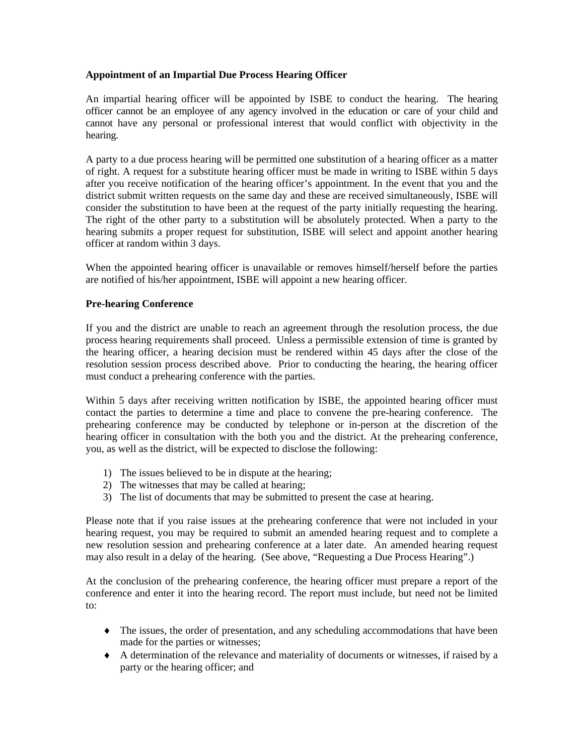### **Appointment of an Impartial Due Process Hearing Officer**

An impartial hearing officer will be appointed by ISBE to conduct the hearing. The hearing officer cannot be an employee of any agency involved in the education or care of your child and cannot have any personal or professional interest that would conflict with objectivity in the hearing.

A party to a due process hearing will be permitted one substitution of a hearing officer as a matter of right. A request for a substitute hearing officer must be made in writing to ISBE within 5 days after you receive notification of the hearing officer's appointment. In the event that you and the district submit written requests on the same day and these are received simultaneously, ISBE will consider the substitution to have been at the request of the party initially requesting the hearing. The right of the other party to a substitution will be absolutely protected. When a party to the hearing submits a proper request for substitution, ISBE will select and appoint another hearing officer at random within 3 days.

When the appointed hearing officer is unavailable or removes himself/herself before the parties are notified of his/her appointment, ISBE will appoint a new hearing officer.

## **Pre-hearing Conference**

If you and the district are unable to reach an agreement through the resolution process, the due process hearing requirements shall proceed. Unless a permissible extension of time is granted by the hearing officer, a hearing decision must be rendered within 45 days after the close of the resolution session process described above. Prior to conducting the hearing, the hearing officer must conduct a prehearing conference with the parties.

Within 5 days after receiving written notification by ISBE, the appointed hearing officer must contact the parties to determine a time and place to convene the pre-hearing conference. The prehearing conference may be conducted by telephone or in-person at the discretion of the hearing officer in consultation with the both you and the district. At the prehearing conference, you, as well as the district, will be expected to disclose the following:

- 1) The issues believed to be in dispute at the hearing;
- 2) The witnesses that may be called at hearing;
- 3) The list of documents that may be submitted to present the case at hearing.

Please note that if you raise issues at the prehearing conference that were not included in your hearing request, you may be required to submit an amended hearing request and to complete a new resolution session and prehearing conference at a later date. An amended hearing request may also result in a delay of the hearing. (See above, "Requesting a Due Process Hearing".)

At the conclusion of the prehearing conference, the hearing officer must prepare a report of the conference and enter it into the hearing record. The report must include, but need not be limited to:

- ♦ The issues, the order of presentation, and any scheduling accommodations that have been made for the parties or witnesses;
- ♦ A determination of the relevance and materiality of documents or witnesses, if raised by a party or the hearing officer; and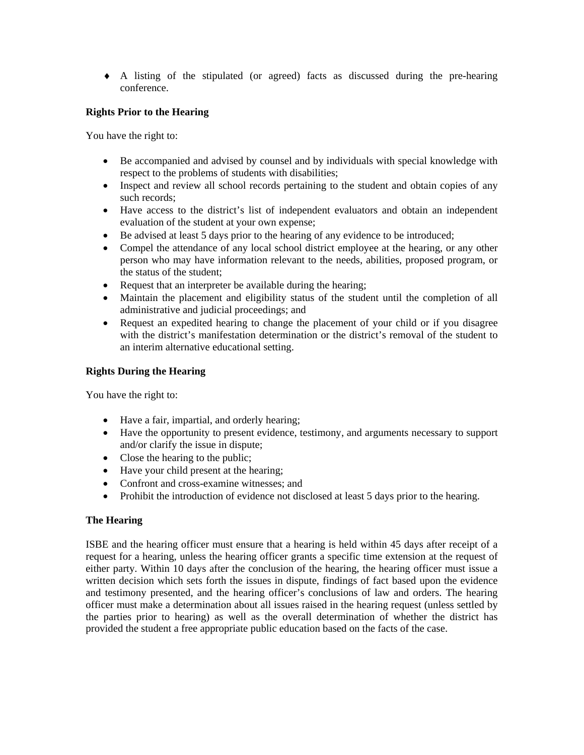♦ A listing of the stipulated (or agreed) facts as discussed during the pre-hearing conference.

## **Rights Prior to the Hearing**

You have the right to:

- Be accompanied and advised by counsel and by individuals with special knowledge with respect to the problems of students with disabilities;
- Inspect and review all school records pertaining to the student and obtain copies of any such records;
- Have access to the district's list of independent evaluators and obtain an independent evaluation of the student at your own expense;
- Be advised at least 5 days prior to the hearing of any evidence to be introduced;
- Compel the attendance of any local school district employee at the hearing, or any other person who may have information relevant to the needs, abilities, proposed program, or the status of the student;
- Request that an interpreter be available during the hearing;
- Maintain the placement and eligibility status of the student until the completion of all administrative and judicial proceedings; and
- Request an expedited hearing to change the placement of your child or if you disagree with the district's manifestation determination or the district's removal of the student to an interim alternative educational setting.

### **Rights During the Hearing**

You have the right to:

- Have a fair, impartial, and orderly hearing;
- Have the opportunity to present evidence, testimony, and arguments necessary to support and/or clarify the issue in dispute;
- Close the hearing to the public;
- Have your child present at the hearing;
- Confront and cross-examine witnesses; and
- Prohibit the introduction of evidence not disclosed at least 5 days prior to the hearing.

### **The Hearing**

ISBE and the hearing officer must ensure that a hearing is held within 45 days after receipt of a request for a hearing, unless the hearing officer grants a specific time extension at the request of either party. Within 10 days after the conclusion of the hearing, the hearing officer must issue a written decision which sets forth the issues in dispute, findings of fact based upon the evidence and testimony presented, and the hearing officer's conclusions of law and orders. The hearing officer must make a determination about all issues raised in the hearing request (unless settled by the parties prior to hearing) as well as the overall determination of whether the district has provided the student a free appropriate public education based on the facts of the case.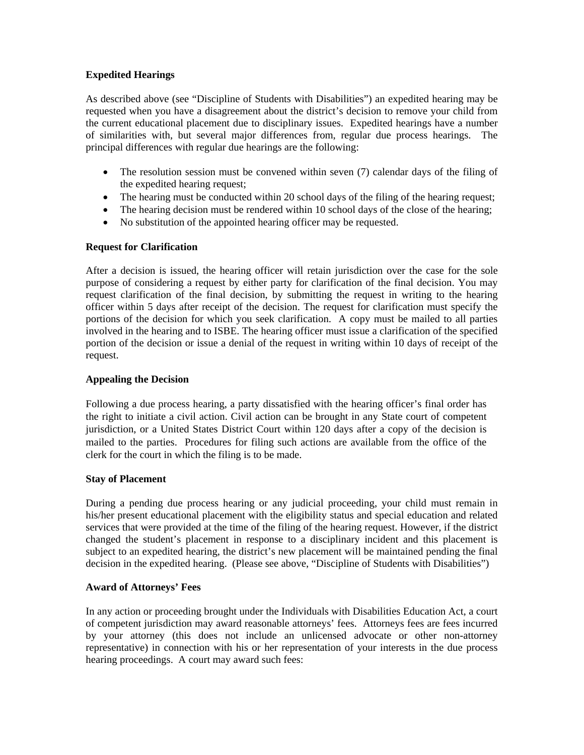### **Expedited Hearings**

As described above (see "Discipline of Students with Disabilities") an expedited hearing may be requested when you have a disagreement about the district's decision to remove your child from the current educational placement due to disciplinary issues. Expedited hearings have a number of similarities with, but several major differences from, regular due process hearings. The principal differences with regular due hearings are the following:

- The resolution session must be convened within seven (7) calendar days of the filing of the expedited hearing request;
- The hearing must be conducted within 20 school days of the filing of the hearing request;
- The hearing decision must be rendered within 10 school days of the close of the hearing;
- No substitution of the appointed hearing officer may be requested.

## **Request for Clarification**

After a decision is issued, the hearing officer will retain jurisdiction over the case for the sole purpose of considering a request by either party for clarification of the final decision. You may request clarification of the final decision, by submitting the request in writing to the hearing officer within 5 days after receipt of the decision. The request for clarification must specify the portions of the decision for which you seek clarification. A copy must be mailed to all parties involved in the hearing and to ISBE. The hearing officer must issue a clarification of the specified portion of the decision or issue a denial of the request in writing within 10 days of receipt of the request.

## **Appealing the Decision**

Following a due process hearing, a party dissatisfied with the hearing officer's final order has the right to initiate a civil action. Civil action can be brought in any State court of competent jurisdiction, or a United States District Court within 120 days after a copy of the decision is mailed to the parties. Procedures for filing such actions are available from the office of the clerk for the court in which the filing is to be made.

### **Stay of Placement**

During a pending due process hearing or any judicial proceeding, your child must remain in his/her present educational placement with the eligibility status and special education and related services that were provided at the time of the filing of the hearing request. However, if the district changed the student's placement in response to a disciplinary incident and this placement is subject to an expedited hearing, the district's new placement will be maintained pending the final decision in the expedited hearing. (Please see above, "Discipline of Students with Disabilities")

## **Award of Attorneys' Fees**

In any action or proceeding brought under the Individuals with Disabilities Education Act, a court of competent jurisdiction may award reasonable attorneys' fees. Attorneys fees are fees incurred by your attorney (this does not include an unlicensed advocate or other non-attorney representative) in connection with his or her representation of your interests in the due process hearing proceedings. A court may award such fees: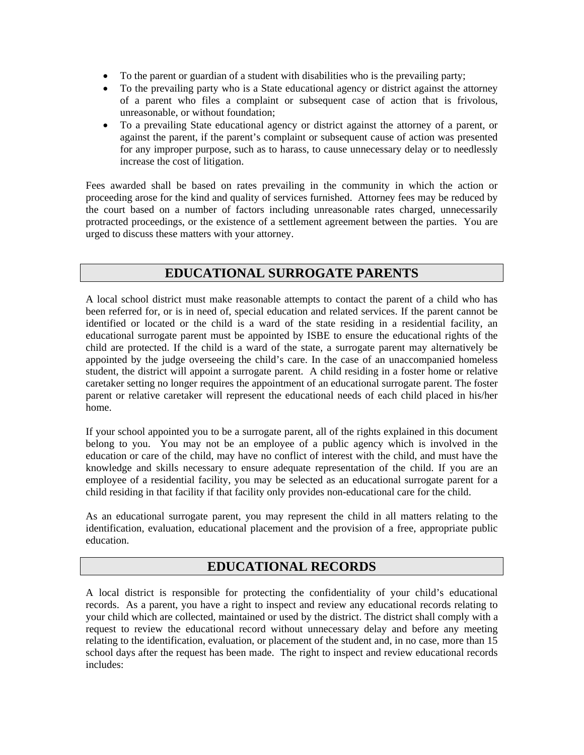- To the parent or guardian of a student with disabilities who is the prevailing party;
- To the prevailing party who is a State educational agency or district against the attorney of a parent who files a complaint or subsequent case of action that is frivolous, unreasonable, or without foundation;
- To a prevailing State educational agency or district against the attorney of a parent, or against the parent, if the parent's complaint or subsequent cause of action was presented for any improper purpose, such as to harass, to cause unnecessary delay or to needlessly increase the cost of litigation.

Fees awarded shall be based on rates prevailing in the community in which the action or proceeding arose for the kind and quality of services furnished. Attorney fees may be reduced by the court based on a number of factors including unreasonable rates charged, unnecessarily protracted proceedings, or the existence of a settlement agreement between the parties. You are urged to discuss these matters with your attorney.

## **EDUCATIONAL SURROGATE PARENTS**

A local school district must make reasonable attempts to contact the parent of a child who has been referred for, or is in need of, special education and related services. If the parent cannot be identified or located or the child is a ward of the state residing in a residential facility, an educational surrogate parent must be appointed by ISBE to ensure the educational rights of the child are protected. If the child is a ward of the state, a surrogate parent may alternatively be appointed by the judge overseeing the child's care. In the case of an unaccompanied homeless student, the district will appoint a surrogate parent. A child residing in a foster home or relative caretaker setting no longer requires the appointment of an educational surrogate parent. The foster parent or relative caretaker will represent the educational needs of each child placed in his/her home.

If your school appointed you to be a surrogate parent, all of the rights explained in this document belong to you. You may not be an employee of a public agency which is involved in the education or care of the child, may have no conflict of interest with the child, and must have the knowledge and skills necessary to ensure adequate representation of the child. If you are an employee of a residential facility, you may be selected as an educational surrogate parent for a child residing in that facility if that facility only provides non-educational care for the child.

As an educational surrogate parent, you may represent the child in all matters relating to the identification, evaluation, educational placement and the provision of a free, appropriate public education.

## **EDUCATIONAL RECORDS**

A local district is responsible for protecting the confidentiality of your child's educational records. As a parent, you have a right to inspect and review any educational records relating to your child which are collected, maintained or used by the district. The district shall comply with a request to review the educational record without unnecessary delay and before any meeting relating to the identification, evaluation, or placement of the student and, in no case, more than 15 school days after the request has been made. The right to inspect and review educational records includes: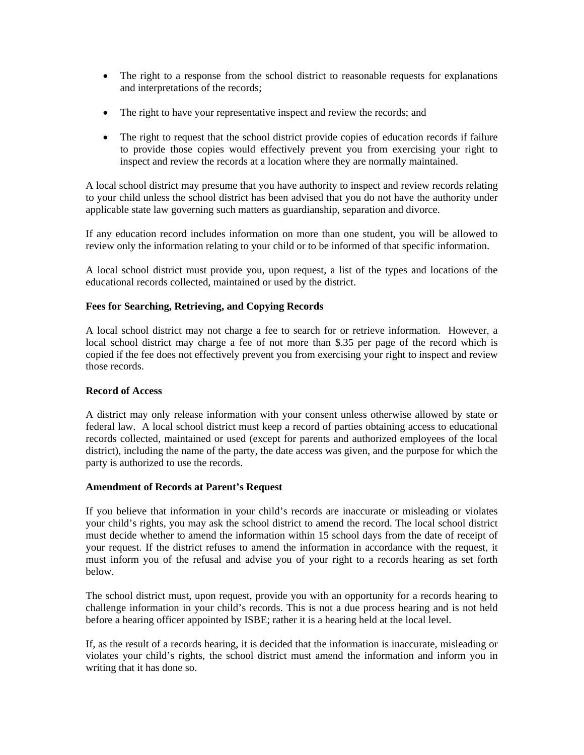- The right to a response from the school district to reasonable requests for explanations and interpretations of the records;
- The right to have your representative inspect and review the records; and
- The right to request that the school district provide copies of education records if failure to provide those copies would effectively prevent you from exercising your right to inspect and review the records at a location where they are normally maintained.

A local school district may presume that you have authority to inspect and review records relating to your child unless the school district has been advised that you do not have the authority under applicable state law governing such matters as guardianship, separation and divorce.

If any education record includes information on more than one student, you will be allowed to review only the information relating to your child or to be informed of that specific information.

A local school district must provide you, upon request, a list of the types and locations of the educational records collected, maintained or used by the district.

### **Fees for Searching, Retrieving, and Copying Records**

A local school district may not charge a fee to search for or retrieve information. However, a local school district may charge a fee of not more than \$.35 per page of the record which is copied if the fee does not effectively prevent you from exercising your right to inspect and review those records.

### **Record of Access**

A district may only release information with your consent unless otherwise allowed by state or federal law. A local school district must keep a record of parties obtaining access to educational records collected, maintained or used (except for parents and authorized employees of the local district), including the name of the party, the date access was given, and the purpose for which the party is authorized to use the records.

### **Amendment of Records at Parent's Request**

If you believe that information in your child's records are inaccurate or misleading or violates your child's rights, you may ask the school district to amend the record. The local school district must decide whether to amend the information within 15 school days from the date of receipt of your request. If the district refuses to amend the information in accordance with the request, it must inform you of the refusal and advise you of your right to a records hearing as set forth below.

The school district must, upon request, provide you with an opportunity for a records hearing to challenge information in your child's records. This is not a due process hearing and is not held before a hearing officer appointed by ISBE; rather it is a hearing held at the local level.

If, as the result of a records hearing, it is decided that the information is inaccurate, misleading or violates your child's rights, the school district must amend the information and inform you in writing that it has done so.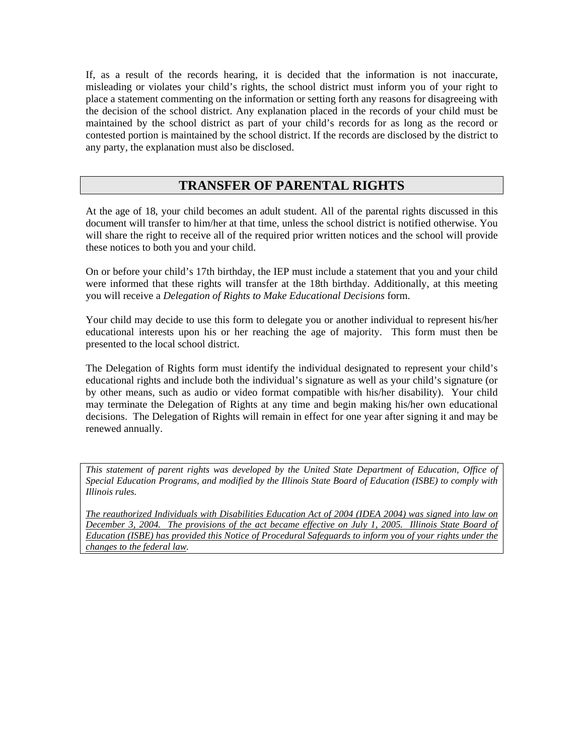If, as a result of the records hearing, it is decided that the information is not inaccurate, misleading or violates your child's rights, the school district must inform you of your right to place a statement commenting on the information or setting forth any reasons for disagreeing with the decision of the school district. Any explanation placed in the records of your child must be maintained by the school district as part of your child's records for as long as the record or contested portion is maintained by the school district. If the records are disclosed by the district to any party, the explanation must also be disclosed.

## **TRANSFER OF PARENTAL RIGHTS**

At the age of 18, your child becomes an adult student. All of the parental rights discussed in this document will transfer to him/her at that time, unless the school district is notified otherwise. You will share the right to receive all of the required prior written notices and the school will provide these notices to both you and your child.

On or before your child's 17th birthday, the IEP must include a statement that you and your child were informed that these rights will transfer at the 18th birthday. Additionally, at this meeting you will receive a *Delegation of Rights to Make Educational Decisions* form.

Your child may decide to use this form to delegate you or another individual to represent his/her educational interests upon his or her reaching the age of majority. This form must then be presented to the local school district.

The Delegation of Rights form must identify the individual designated to represent your child's educational rights and include both the individual's signature as well as your child's signature (or by other means, such as audio or video format compatible with his/her disability). Your child may terminate the Delegation of Rights at any time and begin making his/her own educational decisions. The Delegation of Rights will remain in effect for one year after signing it and may be renewed annually.

*This statement of parent rights was developed by the United State Department of Education, Office of Special Education Programs, and modified by the Illinois State Board of Education (ISBE) to comply with Illinois rules.* 

*The reauthorized Individuals with Disabilities Education Act of 2004 (IDEA 2004) was signed into law on December 3, 2004. The provisions of the act became effective on July 1, 2005. Illinois State Board of Education (ISBE) has provided this Notice of Procedural Safeguards to inform you of your rights under the changes to the federal law.*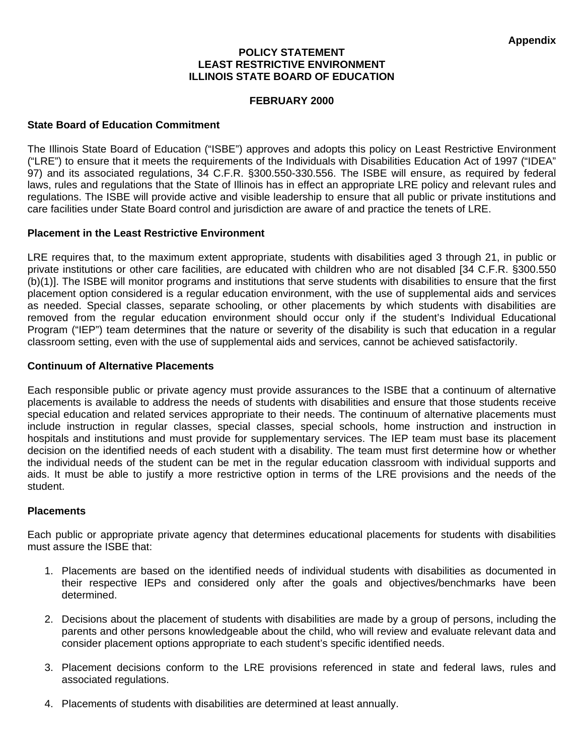## **POLICY STATEMENT LEAST RESTRICTIVE ENVIRONMENT ILLINOIS STATE BOARD OF EDUCATION**

## **FEBRUARY 2000**

## **State Board of Education Commitment**

The Illinois State Board of Education ("ISBE") approves and adopts this policy on Least Restrictive Environment ("LRE") to ensure that it meets the requirements of the Individuals with Disabilities Education Act of 1997 ("IDEA" 97) and its associated regulations, 34 C.F.R. §300.550-330.556. The ISBE will ensure, as required by federal laws, rules and regulations that the State of Illinois has in effect an appropriate LRE policy and relevant rules and regulations. The ISBE will provide active and visible leadership to ensure that all public or private institutions and care facilities under State Board control and jurisdiction are aware of and practice the tenets of LRE.

## **Placement in the Least Restrictive Environment**

LRE requires that, to the maximum extent appropriate, students with disabilities aged 3 through 21, in public or private institutions or other care facilities, are educated with children who are not disabled [34 C.F.R. §300.550 (b)(1)]. The ISBE will monitor programs and institutions that serve students with disabilities to ensure that the first placement option considered is a regular education environment, with the use of supplemental aids and services as needed. Special classes, separate schooling, or other placements by which students with disabilities are removed from the regular education environment should occur only if the student's Individual Educational Program ("IEP") team determines that the nature or severity of the disability is such that education in a regular classroom setting, even with the use of supplemental aids and services, cannot be achieved satisfactorily.

### **Continuum of Alternative Placements**

Each responsible public or private agency must provide assurances to the ISBE that a continuum of alternative placements is available to address the needs of students with disabilities and ensure that those students receive special education and related services appropriate to their needs. The continuum of alternative placements must include instruction in regular classes, special classes, special schools, home instruction and instruction in hospitals and institutions and must provide for supplementary services. The IEP team must base its placement decision on the identified needs of each student with a disability. The team must first determine how or whether the individual needs of the student can be met in the regular education classroom with individual supports and aids. It must be able to justify a more restrictive option in terms of the LRE provisions and the needs of the student.

### **Placements**

Each public or appropriate private agency that determines educational placements for students with disabilities must assure the ISBE that:

- 1. Placements are based on the identified needs of individual students with disabilities as documented in their respective IEPs and considered only after the goals and objectives/benchmarks have been determined.
- 2. Decisions about the placement of students with disabilities are made by a group of persons, including the parents and other persons knowledgeable about the child, who will review and evaluate relevant data and consider placement options appropriate to each student's specific identified needs.
- 3. Placement decisions conform to the LRE provisions referenced in state and federal laws, rules and associated regulations.
- 4. Placements of students with disabilities are determined at least annually.